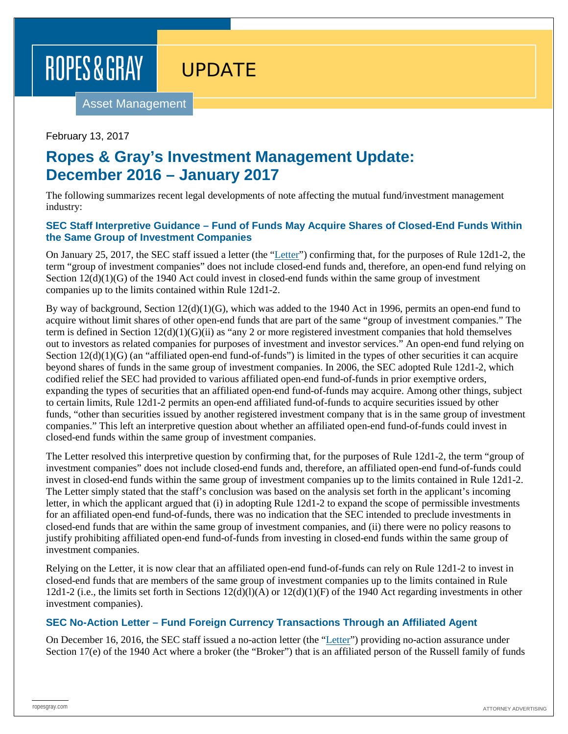UPDATE

Asset Management

February 13, 2017

### **Ropes & Gray's Investment Management Update: December 2016 – January 2017**

The following summarizes recent legal developments of note affecting the mutual fund/investment management industry:

### **SEC Staff Interpretive Guidance – Fund of Funds May Acquire Shares of Closed-End Funds Within the Same Group of Investment Companies**

On January 25, 2017, the SEC staff issued a letter (the ["Letter"](https://www.sec.gov/divisions/investment/noaction/2017/dechert-012517-12d1.htm)) confirming that, for the purposes of Rule 12d1-2, the term "group of investment companies" does not include closed-end funds and, therefore, an open-end fund relying on Section  $12(d)(1)(G)$  of the 1940 Act could invest in closed-end funds within the same group of investment companies up to the limits contained within Rule 12d1-2.

By way of background, Section 12(d)(1)(G), which was added to the 1940 Act in 1996, permits an open-end fund to acquire without limit shares of other open-end funds that are part of the same "group of investment companies." The term is defined in Section  $12(d)(1)(G)(ii)$  as "any 2 or more registered investment companies that hold themselves out to investors as related companies for purposes of investment and investor services." An open-end fund relying on Section  $12(d)(1)(G)$  (an "affiliated open-end fund-of-funds") is limited in the types of other securities it can acquire beyond shares of funds in the same group of investment companies. In 2006, the SEC adopted Rule 12d1-2, which codified relief the SEC had provided to various affiliated open-end fund-of-funds in prior exemptive orders, expanding the types of securities that an affiliated open-end fund-of-funds may acquire. Among other things, subject to certain limits, Rule 12d1-2 permits an open-end affiliated fund-of-funds to acquire securities issued by other funds, "other than securities issued by another registered investment company that is in the same group of investment companies." This left an interpretive question about whether an affiliated open-end fund-of-funds could invest in closed-end funds within the same group of investment companies.

The Letter resolved this interpretive question by confirming that, for the purposes of Rule 12d1-2, the term "group of investment companies" does not include closed-end funds and, therefore, an affiliated open-end fund-of-funds could invest in closed-end funds within the same group of investment companies up to the limits contained in Rule 12d1-2. The Letter simply stated that the staff's conclusion was based on the analysis set forth in the applicant's incoming letter, in which the applicant argued that (i) in adopting Rule 12d1-2 to expand the scope of permissible investments for an affiliated open-end fund-of-funds, there was no indication that the SEC intended to preclude investments in closed-end funds that are within the same group of investment companies, and (ii) there were no policy reasons to justify prohibiting affiliated open-end fund-of-funds from investing in closed-end funds within the same group of investment companies.

Relying on the Letter, it is now clear that an affiliated open-end fund-of-funds can rely on Rule 12d1-2 to invest in closed-end funds that are members of the same group of investment companies up to the limits contained in Rule 12d1-2 (i.e., the limits set forth in Sections  $12(d)(1)(A)$  or  $12(d)(1)(F)$  of the 1940 Act regarding investments in other investment companies).

### **SEC No-Action Letter – Fund Foreign Currency Transactions Through an Affiliated Agent**

On December 16, 2016, the SEC staff issued a no-action letter (the ["Letter"](https://www.sec.gov/divisions/investment/noaction/2016/russell-investment-management-17e-121616.htm)) providing no-action assurance under Section 17(e) of the 1940 Act where a broker (the "Broker") that is an affiliated person of the Russell family of funds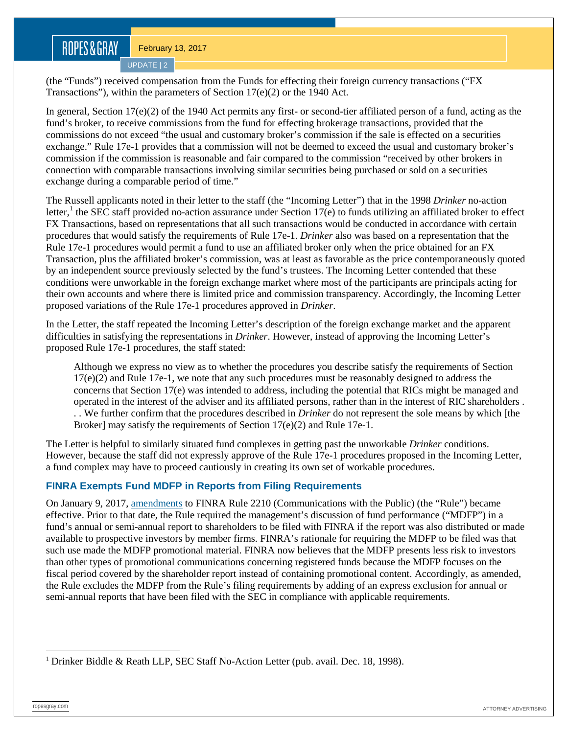UPDATE | 2

(the "Funds") received compensation from the Funds for effecting their foreign currency transactions ("FX Transactions"), within the parameters of Section 17(e)(2) or the 1940 Act.

In general, Section 17(e)(2) of the 1940 Act permits any first- or second-tier affiliated person of a fund, acting as the fund's broker, to receive commissions from the fund for effecting brokerage transactions, provided that the commissions do not exceed "the usual and customary broker's commission if the sale is effected on a securities exchange." Rule 17e-1 provides that a commission will not be deemed to exceed the usual and customary broker's commission if the commission is reasonable and fair compared to the commission "received by other brokers in connection with comparable transactions involving similar securities being purchased or sold on a securities exchange during a comparable period of time."

The Russell applicants noted in their letter to the staff (the "Incoming Letter") that in the 1998 *Drinker* no-action letter,<sup>[1](#page-1-0)</sup> the SEC staff provided no-action assurance under Section 17(e) to funds utilizing an affiliated broker to effect FX Transactions, based on representations that all such transactions would be conducted in accordance with certain procedures that would satisfy the requirements of Rule 17e-1. *Drinker* also was based on a representation that the Rule 17e-1 procedures would permit a fund to use an affiliated broker only when the price obtained for an FX Transaction, plus the affiliated broker's commission, was at least as favorable as the price contemporaneously quoted by an independent source previously selected by the fund's trustees. The Incoming Letter contended that these conditions were unworkable in the foreign exchange market where most of the participants are principals acting for their own accounts and where there is limited price and commission transparency. Accordingly, the Incoming Letter proposed variations of the Rule 17e-1 procedures approved in *Drinker*.

In the Letter, the staff repeated the Incoming Letter's description of the foreign exchange market and the apparent difficulties in satisfying the representations in *Drinker*. However, instead of approving the Incoming Letter's proposed Rule 17e-1 procedures, the staff stated:

Although we express no view as to whether the procedures you describe satisfy the requirements of Section  $17(e)(2)$  and Rule 17e-1, we note that any such procedures must be reasonably designed to address the concerns that Section 17(e) was intended to address, including the potential that RICs might be managed and operated in the interest of the adviser and its affiliated persons, rather than in the interest of RIC shareholders . . . We further confirm that the procedures described in *Drinker* do not represent the sole means by which [the Broker] may satisfy the requirements of Section 17(e)(2) and Rule 17e-1.

The Letter is helpful to similarly situated fund complexes in getting past the unworkable *Drinker* conditions. However, because the staff did not expressly approve of the Rule 17e-1 procedures proposed in the Incoming Letter, a fund complex may have to proceed cautiously in creating its own set of workable procedures.

### **FINRA Exempts Fund MDFP in Reports from Filing Requirements**

On January 9, 2017, [amendments](http://finra.complinet.com/en/display/display.html?rbid=2403&element_id=12626) to FINRA Rule 2210 (Communications with the Public) (the "Rule") became effective. Prior to that date, the Rule required the management's discussion of fund performance ("MDFP") in a fund's annual or semi-annual report to shareholders to be filed with FINRA if the report was also distributed or made available to prospective investors by member firms. FINRA's rationale for requiring the MDFP to be filed was that such use made the MDFP promotional material. FINRA now believes that the MDFP presents less risk to investors than other types of promotional communications concerning registered funds because the MDFP focuses on the fiscal period covered by the shareholder report instead of containing promotional content. Accordingly, as amended, the Rule excludes the MDFP from the Rule's filing requirements by adding of an express exclusion for annual or semi-annual reports that have been filed with the SEC in compliance with applicable requirements.

<span id="page-1-0"></span><sup>&</sup>lt;sup>1</sup> Drinker Biddle & Reath LLP, SEC Staff No-Action Letter (pub. avail. Dec. 18, 1998).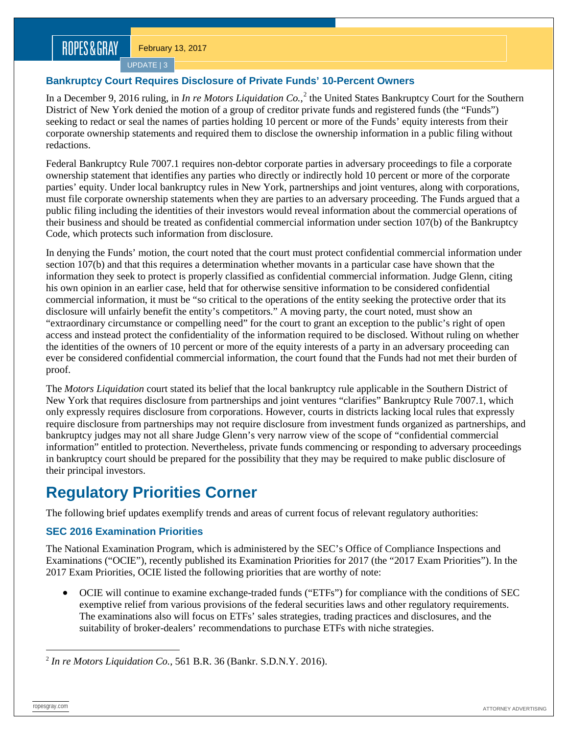UPDATE | 3

### **Bankruptcy Court Requires Disclosure of Private Funds' 10-Percent Owners**

In a December 9, [2](#page-2-0)016 ruling, in *In re Motors Liquidation Co.*,<sup>2</sup> the United States Bankruptcy Court for the Southern District of New York denied the motion of a group of creditor private funds and registered funds (the "Funds") seeking to redact or seal the names of parties holding 10 percent or more of the Funds' equity interests from their corporate ownership statements and required them to disclose the ownership information in a public filing without redactions.

Federal Bankruptcy Rule 7007.1 requires non-debtor corporate parties in adversary proceedings to file a corporate ownership statement that identifies any parties who directly or indirectly hold 10 percent or more of the corporate parties' equity. Under local bankruptcy rules in New York, partnerships and joint ventures, along with corporations, must file corporate ownership statements when they are parties to an adversary proceeding. The Funds argued that a public filing including the identities of their investors would reveal information about the commercial operations of their business and should be treated as confidential commercial information under section 107(b) of the Bankruptcy Code, which protects such information from disclosure.

In denying the Funds' motion, the court noted that the court must protect confidential commercial information under section 107(b) and that this requires a determination whether movants in a particular case have shown that the information they seek to protect is properly classified as confidential commercial information. Judge Glenn, citing his own opinion in an earlier case, held that for otherwise sensitive information to be considered confidential commercial information, it must be "so critical to the operations of the entity seeking the protective order that its disclosure will unfairly benefit the entity's competitors." A moving party, the court noted, must show an "extraordinary circumstance or compelling need" for the court to grant an exception to the public's right of open access and instead protect the confidentiality of the information required to be disclosed. Without ruling on whether the identities of the owners of 10 percent or more of the equity interests of a party in an adversary proceeding can ever be considered confidential commercial information, the court found that the Funds had not met their burden of proof.

The *Motors Liquidation* court stated its belief that the local bankruptcy rule applicable in the Southern District of New York that requires disclosure from partnerships and joint ventures "clarifies" Bankruptcy Rule 7007.1, which only expressly requires disclosure from corporations. However, courts in districts lacking local rules that expressly require disclosure from partnerships may not require disclosure from investment funds organized as partnerships, and bankruptcy judges may not all share Judge Glenn's very narrow view of the scope of "confidential commercial information" entitled to protection. Nevertheless, private funds commencing or responding to adversary proceedings in bankruptcy court should be prepared for the possibility that they may be required to make public disclosure of their principal investors.

# **Regulatory Priorities Corner**

The following brief updates exemplify trends and areas of current focus of relevant regulatory authorities:

### **SEC 2016 Examination Priorities**

The National Examination Program, which is administered by the SEC's Office of Compliance Inspections and Examinations ("OCIE"), recently published its Examination Priorities for 2017 (the "2017 Exam Priorities"). In the 2017 Exam Priorities, OCIE listed the following priorities that are worthy of note:

• OCIE will continue to examine exchange-traded funds ("ETFs") for compliance with the conditions of SEC exemptive relief from various provisions of the federal securities laws and other regulatory requirements. The examinations also will focus on ETFs' sales strategies, trading practices and disclosures, and the suitability of broker-dealers' recommendations to purchase ETFs with niche strategies.

<span id="page-2-0"></span> <sup>2</sup> *In re Motors Liquidation Co.*, 561 B.R. 36 (Bankr. S.D.N.Y. 2016).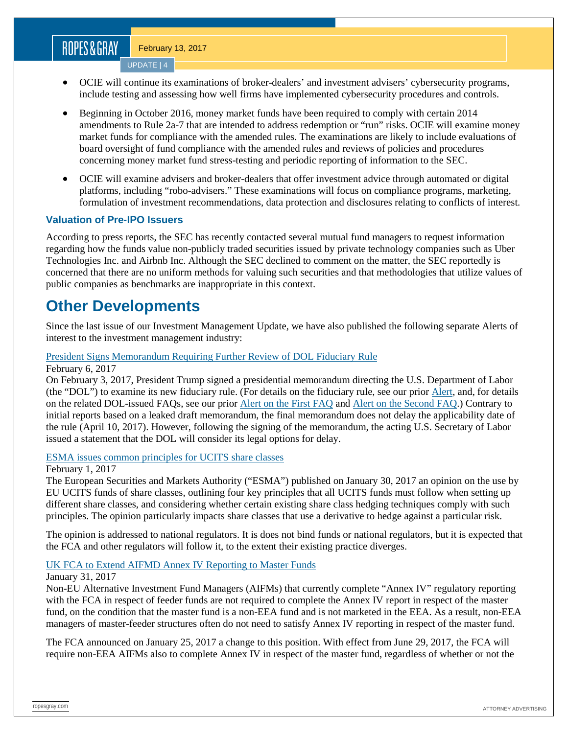UPDATE | 4

- OCIE will continue its examinations of broker-dealers' and investment advisers' cybersecurity programs, include testing and assessing how well firms have implemented cybersecurity procedures and controls.
- Beginning in October 2016, money market funds have been required to comply with certain 2014 amendments to Rule 2a-7 that are intended to address redemption or "run" risks. OCIE will examine money market funds for compliance with the amended rules. The examinations are likely to include evaluations of board oversight of fund compliance with the amended rules and reviews of policies and procedures concerning money market fund stress-testing and periodic reporting of information to the SEC.
- OCIE will examine advisers and broker-dealers that offer investment advice through automated or digital platforms, including "robo-advisers." These examinations will focus on compliance programs, marketing, formulation of investment recommendations, data protection and disclosures relating to conflicts of interest.

### **Valuation of Pre-IPO Issuers**

According to press reports, the SEC has recently contacted several mutual fund managers to request information regarding how the funds value non-publicly traded securities issued by private technology companies such as Uber Technologies Inc. and Airbnb Inc. Although the SEC declined to comment on the matter, the SEC reportedly is concerned that there are no uniform methods for valuing such securities and that methodologies that utilize values of public companies as benchmarks are inappropriate in this context.

### **Other Developments**

Since the last issue of our Investment Management Update, we have also published the following separate Alerts of interest to the investment management industry:

### [President Signs Memorandum Requiring Further Review of DOL Fiduciary Rule](https://www.ropesgray.com/newsroom/alerts/2017/02/President-Signs-Memorandum-Requiring-Further-Review-of-DOL-Fiduciary-Rule.aspx)

February 6, 2017

On February 3, 2017, President Trump signed a presidential memorandum directing the U.S. Department of Labor (the "DOL") to examine its new fiduciary rule. (For details on the fiduciary rule, see our prior [Alert,](https://www.ropesgray.com/newsroom/alerts/2016/April/DOL-Issues-Conflict-of-Interest-Rule-on-Investment-Advice-Fiduciary-Net-Will-Widen-on-April-10-2017.aspx) and, for details on the related DOL-issued FAQs, see our prior [Alert on the First FAQ](https://www.ropesgray.com/newsroom/alerts/2016/October/DOL-Issues-First-Interpretative-Guidance-on-New-Fiduciary-Rule.aspx) and [Alert on the Second FAQ.](https://www.ropesgray.com/newsroom/alerts/2017/01/DOL-Issues-Additional-Interpretative-Guidance-on-New-Fiduciary-Rule.aspx)) Contrary to initial reports based on a leaked draft memorandum, the final memorandum does not delay the applicability date of the rule (April 10, 2017). However, following the signing of the memorandum, the acting U.S. Secretary of Labor issued a statement that the DOL will consider its legal options for delay.

#### [ESMA issues common principles for UCITS share classes](https://www.ropesgray.com/newsroom/alerts/2017/02/ESMA-issues-common-principles-for-UCITS-share-classes.aspx)

February 1, 2017

The European Securities and Markets Authority ("ESMA") published on January 30, 2017 an opinion on the use by EU UCITS funds of share classes, outlining four key principles that all UCITS funds must follow when setting up different share classes, and considering whether certain existing share class hedging techniques comply with such principles. The opinion particularly impacts share classes that use a derivative to hedge against a particular risk.

The opinion is addressed to national regulators. It is does not bind funds or national regulators, but it is expected that the FCA and other regulators will follow it, to the extent their existing practice diverges.

#### [UK FCA to Extend AIFMD Annex IV Reporting to Master Funds](https://www.ropesgray.com/newsroom/alerts/2017/01/UK-FCA-to-extend-AIFMD-Annex-IV-Reporting-to-Master-Funds.aspx)

#### January 31, 2017

Non-EU Alternative Investment Fund Managers (AIFMs) that currently complete "Annex IV" regulatory reporting with the FCA in respect of feeder funds are not required to complete the Annex IV report in respect of the master fund, on the condition that the master fund is a non-EEA fund and is not marketed in the EEA. As a result, non-EEA managers of master-feeder structures often do not need to satisfy Annex IV reporting in respect of the master fund.

The FCA announced on January 25, 2017 a change to this position. With effect from June 29, 2017, the FCA will require non-EEA AIFMs also to complete Annex IV in respect of the master fund, regardless of whether or not the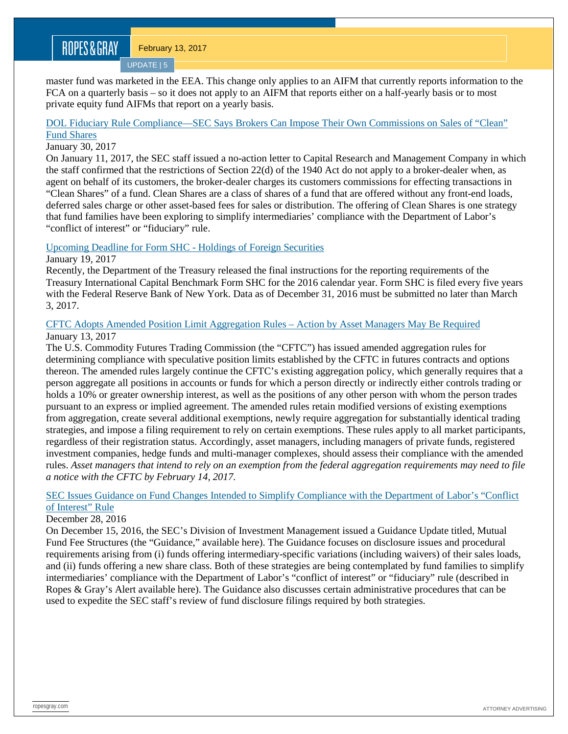UPDATE | 5

master fund was marketed in the EEA. This change only applies to an AIFM that currently reports information to the FCA on a quarterly basis – so it does not apply to an AIFM that reports either on a half-yearly basis or to most private equity fund AIFMs that report on a yearly basis.

### [DOL Fiduciary Rule Compliance—SEC Says Brokers Can Impose Their Own Commissions on Sales of "Clean"](https://www.ropesgray.com/newsroom/alerts/2017/01/DOL-Fiduciary-Rule-Compliance-SEC-Says-Brokers-Can-Impose-Their-Own-Commissions-on-Sales-of-Clean.aspx)  [Fund Shares](https://www.ropesgray.com/newsroom/alerts/2017/01/DOL-Fiduciary-Rule-Compliance-SEC-Says-Brokers-Can-Impose-Their-Own-Commissions-on-Sales-of-Clean.aspx)

### January 30, 2017

On January 11, 2017, the SEC staff issued a no-action letter to Capital Research and Management Company in which the staff confirmed that the restrictions of Section 22(d) of the 1940 Act do not apply to a broker-dealer when, as agent on behalf of its customers, the broker-dealer charges its customers commissions for effecting transactions in "Clean Shares" of a fund. Clean Shares are a class of shares of a fund that are offered without any front-end loads, deferred sales charge or other asset-based fees for sales or distribution. The offering of Clean Shares is one strategy that fund families have been exploring to simplify intermediaries' compliance with the Department of Labor's "conflict of interest" or "fiduciary" rule.

### [Upcoming Deadline for Form SHC -](https://www.ropesgray.com/newsroom/alerts/2017/01/Upcoming-Deadline-for-Form-SHC-Holdings-of-Foreign-Securities.aspx) Holdings of Foreign Securities

### January 19, 2017

Recently, the Department of the Treasury released the final instructions for the reporting requirements of the Treasury International Capital Benchmark Form SHC for the 2016 calendar year. Form SHC is filed every five years with the Federal Reserve Bank of New York. Data as of December 31, 2016 must be submitted no later than March 3, 2017.

### CFTC [Adopts Amended Position Limit Aggregation Rules –](https://www.ropesgray.com/newsroom/alerts/2017/01/CFTC-Adopts-Amended-Position-Limit-Aggregation-Rules-Action-by-Asset-Managers-May-Be-Required.aspx) Action by Asset Managers May Be Required January 13, 2017

The U.S. Commodity Futures Trading Commission (the "CFTC") has issued amended aggregation rules for determining compliance with speculative position limits established by the CFTC in futures contracts and options thereon. The amended rules largely continue the CFTC's existing aggregation policy, which generally requires that a person aggregate all positions in accounts or funds for which a person directly or indirectly either controls trading or holds a 10% or greater ownership interest, as well as the positions of any other person with whom the person trades pursuant to an express or implied agreement. The amended rules retain modified versions of existing exemptions from aggregation, create several additional exemptions, newly require aggregation for substantially identical trading strategies, and impose a filing requirement to rely on certain exemptions. These rules apply to all market participants, regardless of their registration status. Accordingly, asset managers, including managers of private funds, registered investment companies, hedge funds and multi-manager complexes, should assess their compliance with the amended rules. *Asset managers that intend to rely on an exemption from the federal aggregation requirements may need to file a notice with the CFTC by February 14, 2017.*

### [SEC Issues Guidance on Fund Changes Intended to Simplify Compliance with the Department of Labor's "Conflict](https://www.ropesgray.com/newsroom/alerts/2016/December/SEC-Issues-Guidance-on-Fund-Changes-Intended-to-Simplify-Compliance-with-the-Department-of-Labors.aspx)  [of Interest" Rule](https://www.ropesgray.com/newsroom/alerts/2016/December/SEC-Issues-Guidance-on-Fund-Changes-Intended-to-Simplify-Compliance-with-the-Department-of-Labors.aspx)

#### December 28, 2016

On December 15, 2016, the SEC's Division of Investment Management issued a Guidance Update titled, Mutual Fund Fee Structures (the "Guidance," available here). The Guidance focuses on disclosure issues and procedural requirements arising from (i) funds offering intermediary-specific variations (including waivers) of their sales loads, and (ii) funds offering a new share class. Both of these strategies are being contemplated by fund families to simplify intermediaries' compliance with the Department of Labor's "conflict of interest" or "fiduciary" rule (described in Ropes & Gray's Alert available here). The Guidance also discusses certain administrative procedures that can be used to expedite the SEC staff's review of fund disclosure filings required by both strategies.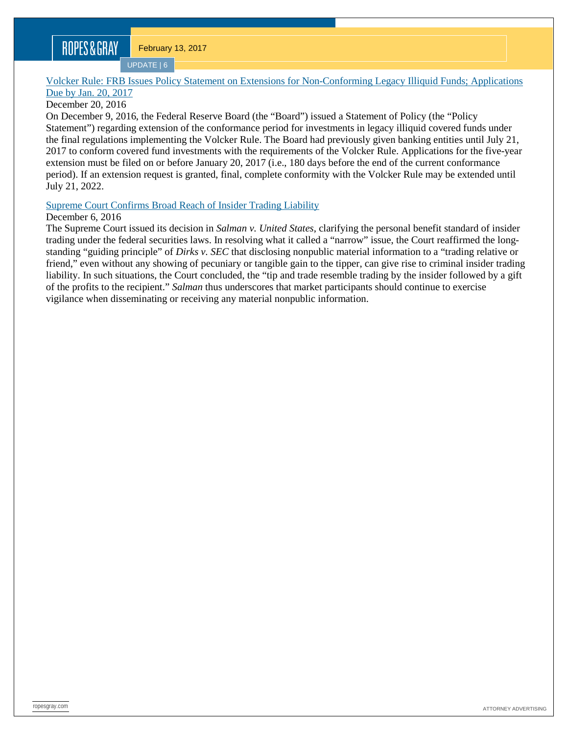UPDATE | 6

### [Volcker Rule: FRB Issues Policy Statement on Extensions for Non-Conforming Legacy Illiquid Funds; Applications](https://www.ropesgray.com/newsroom/alerts/2016/December/Volcker-Rule-FRB-Issues-Policy-Statement-on-Extensions-for-Non-Conforming-Legacy-Illiquid-Funds.aspx)  [Due by Jan. 20,](https://www.ropesgray.com/newsroom/alerts/2016/December/Volcker-Rule-FRB-Issues-Policy-Statement-on-Extensions-for-Non-Conforming-Legacy-Illiquid-Funds.aspx) 2017

### December 20, 2016

On December 9, 2016, the Federal Reserve Board (the "Board") issued a Statement of Policy (the "Policy Statement") regarding extension of the conformance period for investments in legacy illiquid covered funds under the final regulations implementing the Volcker Rule. The Board had previously given banking entities until July 21, 2017 to conform covered fund investments with the requirements of the Volcker Rule. Applications for the five-year extension must be filed on or before January 20, 2017 (i.e., 180 days before the end of the current conformance period). If an extension request is granted, final, complete conformity with the Volcker Rule may be extended until July 21, 2022.

### [Supreme Court Confirms Broad Reach of Insider Trading Liability](https://www.ropesgray.com/newsroom/alerts/2016/December/Supreme-Court-Confirms-Broad-Reach-of-Insider-Trading-Liability.aspx)

### December 6, 2016

The Supreme Court issued its decision in *Salman v. United States*, clarifying the personal benefit standard of insider trading under the federal securities laws. In resolving what it called a "narrow" issue, the Court reaffirmed the longstanding "guiding principle" of *Dirks v. SEC* that disclosing nonpublic material information to a "trading relative or friend," even without any showing of pecuniary or tangible gain to the tipper, can give rise to criminal insider trading liability. In such situations, the Court concluded, the "tip and trade resemble trading by the insider followed by a gift of the profits to the recipient." *Salman* thus underscores that market participants should continue to exercise vigilance when disseminating or receiving any material nonpublic information.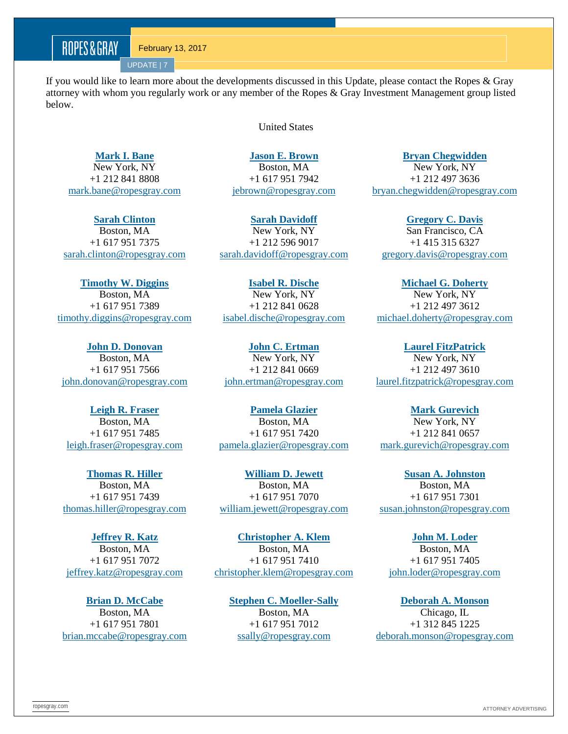UPDATE | 7

If you would like to learn more about the developments discussed in this Update, please contact the Ropes & Gray attorney with whom you regularly work or any member of the Ropes & Gray Investment Management group listed below.

United States

**[Mark I. Bane](http://www.ropesgray.com/markbane/)** New York, NY +1 212 841 8808 [mark.bane@ropesgray.com](mailto:mark.bane@ropesgray.com)

**[Sarah](http://www.ropesgray.com/sarahdavidoff/) Clinton** Boston, MA +1 617 951 7375 [sarah.clinton@ropesgray.com](mailto:sarah.clinton@ropesgray.com)

**[Timothy W. Diggins](http://www.ropesgray.com/timothydiggins/)** Boston, MA +1 617 951 7389 [timothy.diggins@ropesgray.com](mailto:timothy.diggins@ropesgray.com)

**[John D. Donovan](http://www.ropesgray.com/johndonovan/)** Boston, MA +1 617 951 7566 [john.donovan@ropesgray.com](mailto:john.donovan@ropesgray.com)

**[Leigh R. Fraser](http://www.ropesgray.com/leighfraser/)** Boston, MA +1 617 951 7485 [leigh.fraser@ropesgray.com](mailto:leigh.fraser@ropesgray.com)

**[Thomas R. Hiller](http://www.ropesgray.com/thomashiller/)** Boston, MA +1 617 951 7439 [thomas.hiller@ropesgray.com](mailto:thomas.hiller@ropesgray.com)

**[Jeffrey R. Katz](http://www.ropesgray.com/jeffreykatz/)** Boston, MA +1 617 951 7072 [jeffrey.katz@ropesgray.com](mailto:jeffrey.katz@ropesgray.com)

**[Brian D. McCabe](http://www.ropesgray.com/brianmccabe/)** Boston, MA +1 617 951 7801 [brian.mccabe@ropesgray.com](mailto:brian.mccabe@ropesgray.com) **[Jason E. Brown](http://www.ropesgray.com/jebrown/)** Boston, MA

+1 617 951 7942 [jebrown@ropesgray.com](mailto:jebrown@ropesgray.com)

**[Sarah Davidoff](http://www.ropesgray.com/sarahdavidoff/)** New York, NY +1 212 596 9017 [sarah.davidoff@ropesgray.com](mailto:sarah.davidoff@ropesgray.com)

**[Isabel R. Dische](http://www.ropesgray.com/biographies/d/isabel-kr-dische.aspx)** New York, NY +1 212 841 0628 [isabel.dische@ropesgray.com](mailto:isabel.dische@ropesgray.com)

**[John C. Ertman](http://www.ropesgray.com/johnertman/)** New York, NY +1 212 841 0669 [john.ertman@ropesgray.com](mailto:john.ertman@ropesgray.com)

**[Pamela](http://www.ropesgray.com/leighfraser/) Glazier** Boston, MA +1 617 951 7420 [pamela.glazier@ropesgray.com](mailto:pamela.glazier@ropesgray.com)

**[William D. Jewett](http://www.ropesgray.com/williamjewett/)** Boston, MA +1 617 951 7070 [william.jewett@ropesgray.com](mailto:william.jewett@ropesgray.com)

**[Christopher A. Klem](http://www.ropesgray.com/christopherklem/)** Boston, MA +1 617 951 7410 [christopher.klem@ropesgray.com](mailto:christopher.klem@ropesgray.com)

> **[Stephen C. Moeller-Sally](http://www.ropesgray.com/stephenmoeller-sally/)** Boston, MA +1 617 951 7012 [ssally@ropesgray.com](mailto:ssally@ropesgray.com)

**[Bryan Chegwidden](http://www.ropesgray.com/bryanchegwidden/)**

New York, NY +1 212 497 3636 [bryan.chegwidden@ropesgray.com](mailto:bryan.chegwidden@ropesgray.com)

**[Gregory C. Davis](http://www.ropesgray.com/gregorydavis/)** San Francisco, CA +1 415 315 6327 [gregory.davis@ropesgray.com](mailto:gregory.davis@ropesgray.com)

**[Michael G. Doherty](http://www.ropesgray.com/michaeldoherty/)** New York, NY +1 212 497 3612 [michael.doherty@ropesgray.com](mailto:michael.doherty@ropesgray.com)

**[Laurel FitzPatrick](http://www.ropesgray.com/laurelfitzpatrick/)** New York, NY +1 212 497 3610 [laurel.fitzpatrick@ropesgray.com](mailto:laurel.fitzpatrick@ropesgray.com)

**[Mark Gurevich](http://www.ropesgray.com/biographies/g/mark-gurevich.aspx)** New York, NY +1 212 841 0657 [mark.gurevich@ropesgray.com](mailto:mark.gurevich@ropesgray.com)

**[Susan A. Johnston](http://www.ropesgray.com/susanjohnston/)** Boston, MA +1 617 951 7301 [susan.johnston@ropesgray.com](mailto:susan.johnston@ropesgray.com)

**[John M. Loder](http://www.ropesgray.com/johnloder/)** Boston, MA +1 617 951 7405 [john.loder@ropesgray.com](mailto:john.loder@ropesgray.com)

**[Deborah A. Monson](http://www.ropesgray.com/deborahmonson/)** Chicago, IL +1 312 845 1225 [deborah.monson@ropesgray.com](mailto:deborah.monson@ropesgray.com)